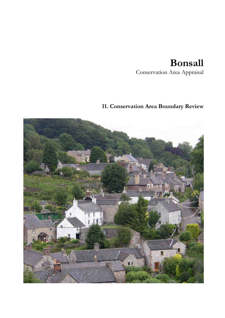# **Bonsall**

Conservation Area Appraisal

# **11. Conservation Area Boundary Review**

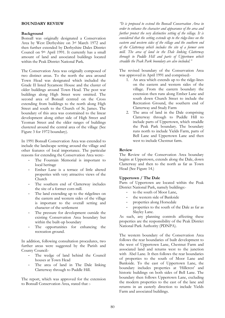### **BOUNDARY REVIEW**

# **Background**

Bonsall was originally designated a Conservation Area by West Derbyshire on 3rd March 1972 and then further extended by Derbyshire Dales District Council on 9th April 1991. It currently has a small amount of land and associated buildings located within the Peak District National Park.

The Conservation Area was originally composed of two distinct areas. To the north the area around Town Head was designated which included the Grade II listed Sycamore House and the cluster of older buildings around Town Head. The post war buildings along High Street were omitted. The second area of Bonsall centred on the Cross extending from buildings to the north along High Street and south to the Church of St. James. The boundary of this area was constrained to the linear development along either side of High Street and Yeoman Street and the older ranges of buildings clustered around the central area of the village (See Figure 3 for 1972 boundary).

In 1991 Bonsall Conservation Area was extended to include the landscape setting around the village and other features of local importance. The particular reasons for extending the Conservation Area were:-

- The Fountain Memorial is important to local heritage
- Ember Lane is a terrace of little altered properties with very attractive views of the Church
- The southern end of Clatterway includes the site of a former corn mill.
- The land extending up to the ridgelines on the eastern and western sides of the village is important to the overall setting and character of the settlement
- The pressure for development outside the existing Conservation Area boundary but within the built-up boundary
- The opportunities for enhancing the recreation ground.

In addition, following consultation procedures, two further areas were suggested by the Parish and County Council:-

- The wedge of land behind the Council houses at Town Head
- The area of land in The Dale linking Clatterway through to Puddle Hill.

The report, which was approved for the extension to Bonsall Conservation Area, stated that :-

*"It is proposed to extend the Bonsall Conservation Area in order to enhance the character and appearance of the area and further protect the very distinctive setting of the village. It is considered that the setting extends up to the ridge-lines on the eastern and western sides of the village and the southern end of the Clatterway which includes the site of a former corn mill. The area of land in the Dale linking Clatterway through to Puddle Hill and parts of Uppertown which straddle the Peak Park boundary are also included."*

The revised boundary of the Conservation Area was approved in April 1991 and comprised:-

- 1. An area which extends up to the ridge-lines on the eastern and western sides of the village. From the eastern boundary the extension then runs along Ember Lane and south down Church Street to include the Recreation Ground, the southern end of Clatterway and Study Farm
- 2. The area of land in the Dale comprising Clatterway through to Puddle Hill to include parts of Uppertown, which straddle the Peak Park boundary. The boundary runs north to include Yields Farm, parts of Bell Lane and Uppertown Lane and then west to include Chestnut farm.

# **Review**

The Review of the Conservation Area boundary begins at Uppertown, extends along the Dale, down Clatterway and then to the north as far as Town Head (See Figure 14.)

# **Uppertown / The Dale**

Parts of Uppertown are located within the Peak District National Park, namely buildings:-

- to the south of Moor Lane,
- the western side of Bankside
- properties along Horsedale
- properties to the south of the Dale as far as Slayley Lane.

As such, any planning controls affecting these properties are the responsibility of the Peak District National Park Authority (PDNPA).

The western boundary of the Conservation Area follows the rear boundaries of built development to the west of Uppertown Lane, Chestnut Farm and associated land and returns west to the junction with Abel Lane. It then follows the rear boundaries of properties to the south of Moor Lane and Bankside. To the east of Uppertown Lane, the boundary includes properties at 'Hillcrest' and historic buildings on both sides of Bell Lane. The boundary then follows Uppertown Lane, excluding the modern properties to the east of the lane and returns in an easterly direction to include Yields Farm and associated buildings.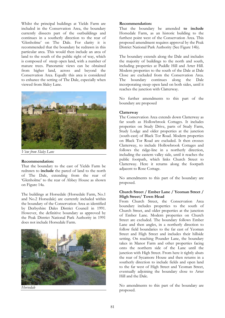Whilst the principal buildings at Yields Farm are included in the Conservation Area, the boundary currently dissects part of the outbuildings and continues in a southerly direction to the rear of 'Glenholme' on The Dale. For clarity it is recommended that the boundary be redrawn in this particular area. This would then include an area of land to the south of the public right of way, which is composed of steep open land, with a number of mature trees. Panoramic views can be obtained from higher land, across and beyond the Conservation Area. Equally this area is considered to enhance the setting of The Dale, especially when viewed from Slaley Lane.



*View from Slaley Lane* 

#### **Recommendation:**

That the boundary to the east of Yields Farm be redrawn to **include** the parcel of land to the north of The Dale, extending from the rear of 'Glenholme' to the rear of Abbey House as shown on Figure 14a.

The buildings at Horsedale (Horsedale Farm, No.1 and No.2 Horsedale) are currently included within the boundary of the Conservation Area as identified by Derbyshire Dales District Council in 1991. However, the definitive boundary as approved by the Peak District National Park Authority in 1991 does not include Horsedale Farm.



**Recommendation:**

That the boundary be amended **to include** Horsedale Farm, as an historic building to the furthest point west of the Conservation Area. This proposed amendment requires approval by the Peak District National Park Authority (See Figure 14b).

The boundary extends along the Dale and includes the majority of buildings to the north and south, including properties at Puddle Hill and Arter Hill. Modern properties to the south of the Dale at Dale Close are excluded from the Conservation Area. The boundary continues along the Dale incorporating steep open land on both sides, until it reaches the junction with Clatterway.

No further amendments to this part of the boundary are proposed

#### **Clatterway**

The Conservation Area extends down Clatterway as far south as Hollowbrook Cottages. It includes properties on Study Drive, parts of Study Farm, Study Lodge and older properties at the junction (south-east) of Black Tor Road. Modern properties on Black Tor Road are excluded. It then crosses Clatterway, to include Hollowbrook Cottages and follows the ridge-line in a northerly direction, including the eastern valley side, until it reaches the public footpath, which links Church Street to Clatterway. Here it returns along the footpath adjacent to Rose Cottage.

No amendments to this part of the boundary are proposed.

## **Church Street / Ember Lane / Yeoman Street / High Street/ Town Head**

From Church Street, the Conservation Area boundary includes properties to the south of Church Street, and older properties at the junction of Ember Lane. Modern properties on Church Street are excluded. The boundary follows Ember Lane and then angles, in a northerly direction to follow field boundaries to the far east of Yeoman Street and High Street and includes their hillside setting. On reaching Pounder Lane, the boundary takes in Manor Farm and other properties facing onto the northern side of the Lane until the junction with High Street. From here it tightly abuts the rear of Sycamore House and then returns in a southerly direction to include fields and open land to the far west of High Street and Yeoman Street, eventually adjoining the boundary close to Arter Hill and the Dale.

No amendments to this part of the boundary are proposed.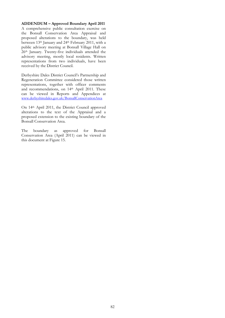# **ADDENDUM – Approved Boundary April 2011**

A comprehensive public consultation exercise on the Bonsall Conservation Area Appraisal and proposed alterations to the boundary, was held between 13<sup>th</sup> January and 24<sup>th</sup> February 2011, with a public advisory meeting at Bonsall Village Hall on 26th January. Twenty-five individuals attended the advisory meeting, mostly local residents. Written representations from two individuals, have been received by the District Council.

Derbyshire Dales District Council's Partnership and Regeneration Committee considered those written representations, together with officer comments and recommendations, on 14th April 2011. These can be viewed in Reports and Appendices at www.derbyshiredales.gov.uk/BonsallConservationArea

On 14th April 2011, the District Council approved alterations to the text of the Appraisal and a proposed extension to the existing boundary of the Bonsall Conservation Area.

The boundary as approved for Bonsall Conservation Area (April 2011) can be viewed in this document at Figure 15.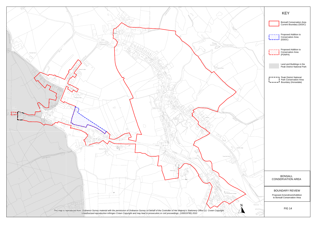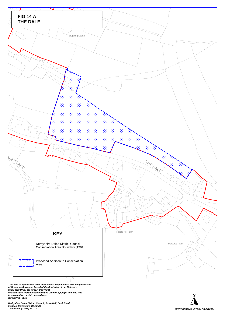

**This map is reproduced from Ordnance Survey material with the permission<br>of Ordnance Survey on behalf of the Controller of Her Majesty's<br>Stationery Office (c) Crown Copyright.<br>Unauthorised reproduction infringes Crown Cop** 

**Derbyshire Dales District Council, Town Hall, Bank Road, Matlock, Derbyshire, DE4 3NN.** 

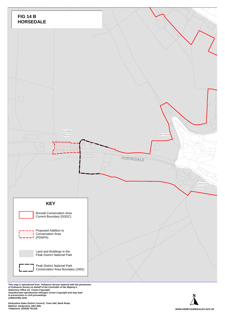

This map is reproduced from Ordnance Survey material with the permission<br>of Ordnance Survey on behalf of the Controller of Her Majesty's<br>Stationery Office (c) Crown Copyright.<br>Unauthorised reproduction infringes Crown Co **to prosecution or civil proceedings. (100019785) 2010**

**Derbyshire Dales District Council, Town Hall, Bank Road, Matlock, Derbyshire, DE4 3NN.**